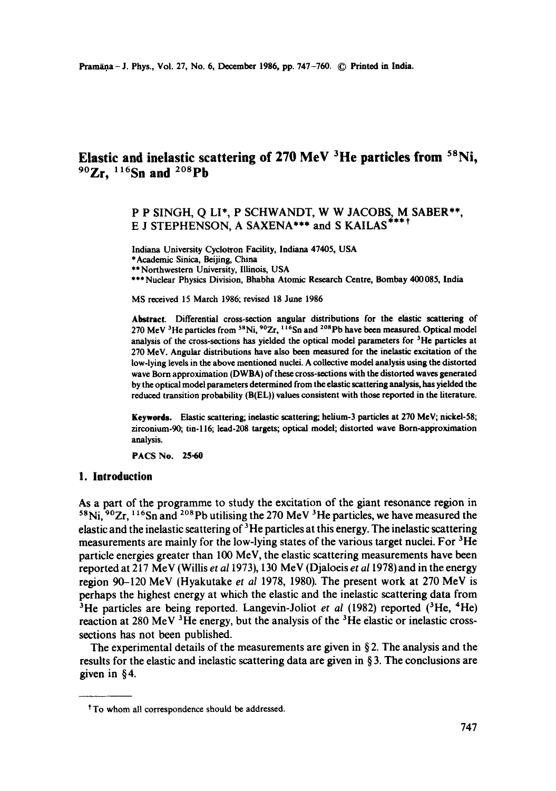# **Elastic and inelastic scattering of 270 MeV <sup>3</sup>He particles from <sup>58</sup>Ni, 9°Zr, 116Sn and 2°Spb**

## P P SINGH, Q LI\*, P SCHWANDT, W W JACOBS, M SABER\*\*, E J STEPHENSON, A SAXENA\*\*\* and S KAILAS\*\*\*\*

Indiana University Cyclotron Facility, Indiana 47405, USA

\* Academic Sinica, Beijing, China

\*\* Northwestern University, Illinois, USA

\*\*\* Nuclear Physics Division, Bhabha Atomic Research Centre, Bombay 400 085, India

MS received 15 March 1986; revised 18 June 1986

Abstract. Differential cross-section angular distributions for the elastic scattering of 270 MeV <sup>3</sup>He particles from <sup>58</sup>Ni, <sup>90</sup>Zr, <sup>116</sup>Sn and <sup>208</sup>Pb have been measured. Optical model analysis of the cross-sections has yielded the optical model parameters for  $3$ He particles at 270 MeV. Angular distributions have also been measured for the inelastic excitation of the low-lying levels in the above mentioned nuclei. A collective model analysis using the distorted wave Born approximation (DWBA) of these cross-sections with the distorted waves generated by the optical model parameters determined from the elastic scattering analysis, has yielded the reduced transition probability (B(EL)) values consistent with those reported in the literature.

**Keywords.** Elastic scattering; inelastic scattering; helium-3 particles at 270 MeV; nickel-58; zirconium-90; tin-116; lead-208 targets; optical model; distorted wave Born-approximation analysis.

PACS No. 25.60

### **I. Introduction**

As a part of the programme to study the excitation of the giant resonance region in  $58$ Ni,  $90Zr$ ,  $116Sn$  and  $208$  Pb utilising the 270 MeV  $3$  He particles, we have measured the elastic and the inelastic scattering of  $3$  He particles at this energy. The inelastic scattering measurements are mainly for the low-lying states of the various target nuclei. For  ${}^{3}$ He particle energies greater than 100 MeV, the elastic scattering measurements have been reported at 217 MeV (Willis *et a11973),* 130 MeV (Djaloeis *et a11978)* and in the energy region 90-120 MeV (Hyakutake *et al* 1978, 1980). The present work at 270 MeV is perhaps the highest energy at which the elastic and the inelastic scattering data from <sup>3</sup>He particles are being reported. Langevin-Joliot *et al* (1982) reported (<sup>3</sup>He, <sup>4</sup>He) reaction at 280 MeV  $^3$ He energy, but the analysis of the  $^3$ He elastic or inelastic crosssections has not been published.

The experimental details of the measurements are given in  $\S 2$ . The analysis and the results for the elastic and inelastic scattering data are given in § 3. The conclusions are given in §4.

t To whom all correspondence should be addressed.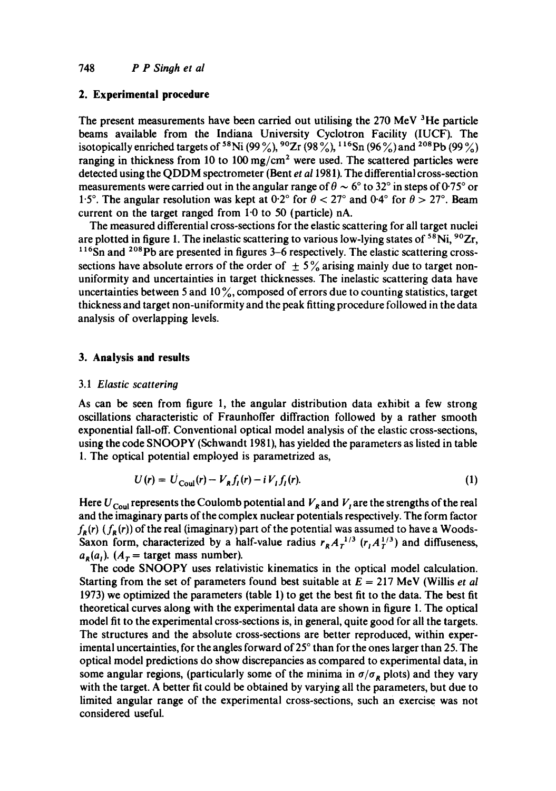### **2. Experimental procedure**

The present measurements have been carried out utilising the  $270$  MeV  $^3$ He particle beams available from the Indiana University Cyclotron Facility (IUCF). The isotopically enriched targets of <sup>58</sup>Ni (99%), <sup>90</sup>Zr (98%), <sup>116</sup>Sn (96%) and <sup>208</sup>Pb (99%) ranging in thickness from 10 to 100 mg/cm<sup>2</sup> were used. The scattered particles were detected using the QDDM spectrometer (Bent *et al* 1981). The differential cross-section measurements were carried out in the angular range of  $\theta \sim 6^{\circ}$  to 32° in steps of 0.75° or 1.5°. The angular resolution was kept at  $0.2^{\circ}$  for  $\theta < 27^{\circ}$  and  $0.4^{\circ}$  for  $\theta > 27^{\circ}$ . Beam current on the target ranged from  $1.0$  to 50 (particle) nA.

The measured differential cross-sections for the elastic scattering for all target nuclei are plotted in figure 1. The inelastic scattering to various low-lying states of <sup>58</sup>Ni, <sup>90</sup>Zr, **116Sn** and 2°8pb are presented in figures 3-6 respectively. The elastic scattering crosssections have absolute errors of the order of  $\pm$  5% arising mainly due to target nonuniformity and uncertainties in target thicknesses. The inelastic scattering data have uncertainties between 5 and  $10\%$ , composed of errors due to counting statistics, target thickness and target non-uniformity and the peak fitting procedure followed in the data analysis of overlapping levels.

### **3. Analysis and results**

### 3.1 *Elastic scattering*

As can be seen from figure 1, the angular distribution data exhibit a few strong oscillations characteristic of Fraunhoffer diffraction followed by a rather smooth exponential fall-off. Conventional optical model analysis of the elastic cross-sections, using the code SNOOPY (Schwandt 1981), has yielded the parameters as listed in table 1. The optical potential employed is parametrized as,

$$
U(r) = U_{\text{Coul}}(r) - V_{R}f_{I}(r) - i V_{I}f_{I}(r). \tag{1}
$$

Here  $U_{\text{Coul}}$  represents the Coulomb potential and  $V_R$  and  $V_I$  are the strengths of the real and the imaginary parts of the complex nuclear potentials respectively. The form factor  $f_R(r)$  ( $f_R(r)$ ) of the real (imaginary) part of the potential was assumed to have a Woods-Saxon form, characterized by a half-value radius  $r_R A_T^{-1/3}$  ( $r_I A_T^{1/3}$ ) and diffuseness,  $a_R(a_l)$ . ( $A_T$  = target mass number).

The code SNOOPY uses relativistic kinematics in the optical model calculation. Starting from the set of parameters found best suitable at  $E = 217$  MeV (Willis *et al*) 1973) we optimized the parameters (table 1) to get the best fit to the data. The best fit theoretical curves along with the experimental data are shown in figure 1. The optical model fit to the experimental cross-sections is, in general, quite good for all the targets. The structures and the absolute cross-sections are better reproduced, within experimental uncertainties, for the angles forward of 25 ° than for the ones larger than 25. The optical model predictions do show discrepancies as compared to experimental data, in some angular regions, (particularly some of the minima in  $\sigma/\sigma_R$  plots) and they vary with the target. A better fit could be obtained by varying all the parameters, but due to limited angular range of the experimental cross-sections, such an exercise was not considered useful.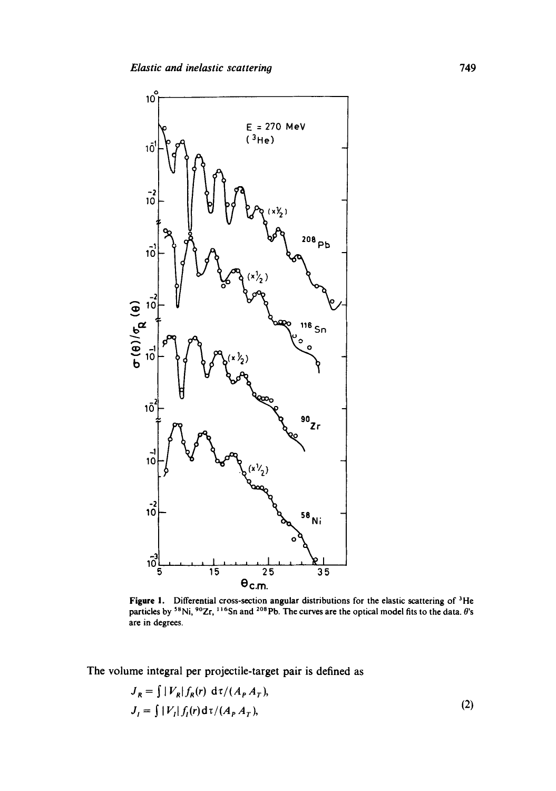

Figure 1. Differential cross-section angular distributions for the elastic scattering of <sup>3</sup>He particles by <sup>58</sup>Ni, <sup>90</sup>Zr, <sup>116</sup>Sn and <sup>208</sup>Pb. The curves are the optical model fits to the data.  $\theta$ 's are in degrees,

The volume integral per projectile-target pair is defined as

$$
J_R = \int |V_R| f_R(r) d\tau / (A_P A_T),
$$
  
\n
$$
J_I = \int |V_I| f_I(r) d\tau / (A_P A_T),
$$
\n(2)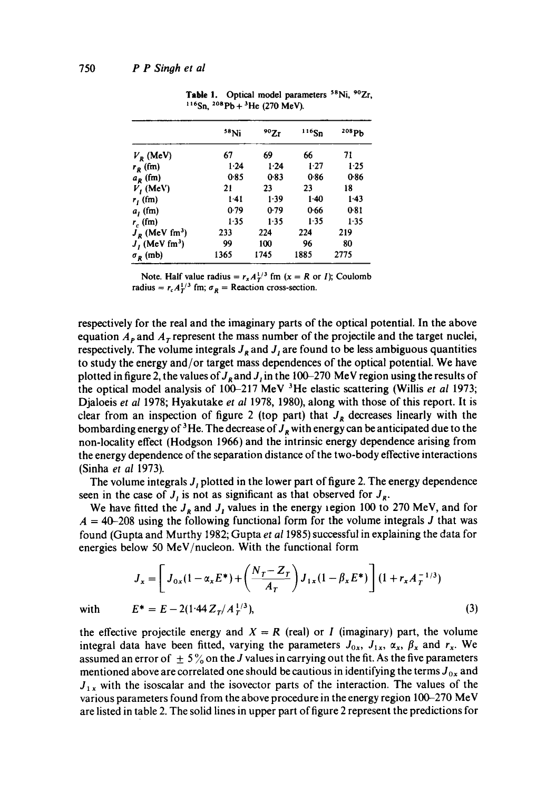|                              | <sup>58</sup> Ni | 90Zr     | $116$ Sn | 208 Pb   |
|------------------------------|------------------|----------|----------|----------|
| $V_R$ (MeV)                  | 67               | 69       | 66       | 71       |
| $r_R$ (fm)                   | 1.24             | $1 - 24$ | 1.27     | $1-25$   |
| $a_R$ (fm)                   | 0.85             | 0.83     | 0.86     | 0.86     |
| $V_I$ (MeV)                  | 21               | 23       | 23       | 18       |
| $r_f$ (fm)                   | $1-41$           | 1.39     | $1-40$   | 1.43     |
| a <sub>1</sub> (fm)          | 0.79             | 0.79     | 0.66     | 0.81     |
| $r_c$ (fm)                   | 1.35             | 1.35     | 1.35     | $1 - 35$ |
| $J_R$ (MeV fm <sup>3</sup> ) | 233              | 224      | 224      | 219      |
| $J_I$ (MeV fm <sup>3</sup> ) | 99               | 100      | 96       | 80       |
| $\sigma_R$ (mb)              | 1365             | 1745     | 1885     | 2775     |

Table 1. Optical model parameters <sup>58</sup>Ni, <sup>90</sup>Zr,  $116$ Sn,  $208Pb + 3$ He (270 MeV).

Note. Half value radius =  $r_x A_T^{1/3}$  fm (x = R or 1); Coulomb radius =  $r_c A_T^{1/3}$  fm;  $\sigma_R$  = Reaction cross-section.

respectively for the real and the imaginary parts of the optical potential. In the above equation  $A_{\rm P}$  and  $A_{\rm T}$  represent the mass number of the projectile and the target nuclei, respectively. The volume integrals  $J_R$  and  $J_I$  are found to be less ambiguous quantities to study the energy and/or target mass dependences of the optical potential. We have plotted in figure 2, the values of  $J_R$  and  $J_I$  in the 100-270 MeV region using the results of the optical model analysis of 100-217 MeV 3He elastic scattering (Willis *et al* 1973; Djaloeis *et al* 1978; Hyakutake *et al* 1978, 1980), along with those of this report. It is clear from an inspection of figure 2 (top part) that  $J_R$  decreases linearly with the bombarding energy of <sup>3</sup>He. The decrease of  $J_R$  with energy can be anticipated due to the non-locality effect (Hodgson 1966) and the intrinsic energy dependence arising from the energy dependence of the separation distance of the two-body effective interactions (Sinha *et al* 1973).

The volume integrals  $J<sub>I</sub>$  plotted in the lower part of figure 2. The energy dependence seen in the case of  $J_i$  is not as significant as that observed for  $J_{\rm g}$ .

We have fitted the  $J_R$  and  $J_I$  values in the energy region 100 to 270 MeV, and for  $A = 40{\text -}208$  using the following functional form for the volume integrals J that was found (Gupta and Murthy 1982; Gupta *et at* 1985) successful in explaining the data for energies below 50 MeV/nucleon. With the functional form

$$
J_x = \left[ J_{0x}(1 - \alpha_x E^*) + \left( \frac{N_T - Z_T}{A_T} \right) J_{1x}(1 - \beta_x E^*) \right] (1 + r_x A_T^{-1/3})
$$
  

$$
E^* = E - 2(1.44 Z_T / A_T^{1/3}).
$$
 (3)

with 
$$
E^* = E - 2(1.44 Z_T / A_T^{1/3}),
$$
 (3)

the effective projectile energy and  $X = R$  (real) or I (imaginary) part, the volume integral data have been fitted, varying the parameters  $J_{0x}$ ,  $J_{1x}$ ,  $\alpha_x$ ,  $\beta_x$  and  $r_x$ . We assumed an error of  $\pm 5\%$  on the J values in carrying out the fit. As the five parameters mentioned above are correlated one should be cautious in identifying the terms  $J_{0x}$  and  $J_{1x}$  with the isoscalar and the isovector parts of the interaction. The values of the various parameters found from the above procedure in the energy region 100-270 MeV are listed in table 2. The solid lines in upper part of figure 2 represent the predictions for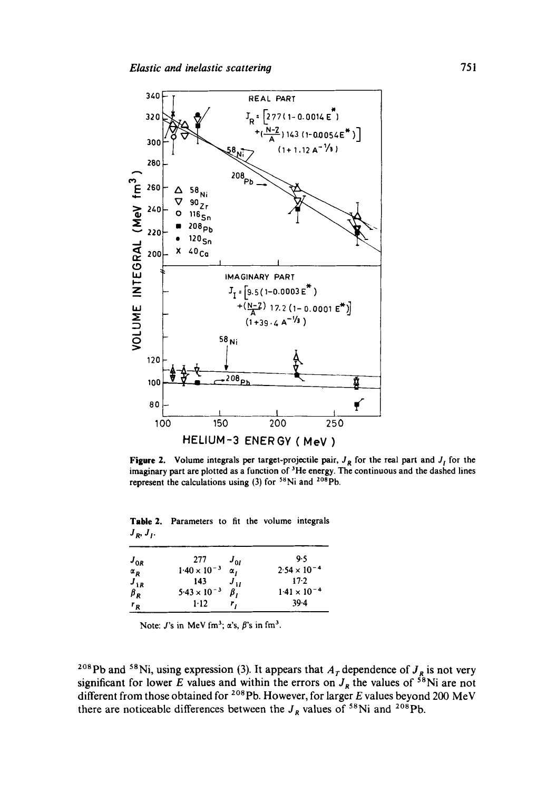

**Figure 2.** Volume integrals per target-projectile pair,  $J_R$  for the real part and  $J_I$  for the imaginary part are plotted as a function of <sup>3</sup>He energy. The continuous and the dashed lines represent the calculations using  $(3)$  for <sup>58</sup>Ni and <sup>208</sup>Pb.

Table 2. Parameters to fit the volume integrals  $J_R$ ,  $J_I$ .

| 277                   |                       | 9.5                   |
|-----------------------|-----------------------|-----------------------|
|                       | $\alpha$ ,            | $2.54 \times 10^{-4}$ |
| 143                   |                       | $17-2$                |
| $5.43 \times 10^{-3}$ | β,                    | $1.41 \times 10^{-4}$ |
| $1 - 12$              | r,                    | 39.4                  |
|                       | $1.40 \times 10^{-3}$ | $J_{0I}$<br>$J_{1I}$  |

Note:  $J$ 's in MeV fm<sup>3</sup>;  $\alpha$ 's,  $\beta$ 's in fm<sup>3</sup>.

<sup>208</sup>Pb and <sup>58</sup>Ni, using expression (3). It appears that  $A<sub>T</sub>$  dependence of  $J<sub>R</sub>$  is not very significant for lower E values and within the errors on  $J_R$  the values of <sup>58</sup>Ni are not different from those obtained for <sup>208</sup>Pb. However, for larger E values beyond 200 MeV there are noticeable differences between the  $J_R$  values of <sup>58</sup>Ni and <sup>208</sup>Pb.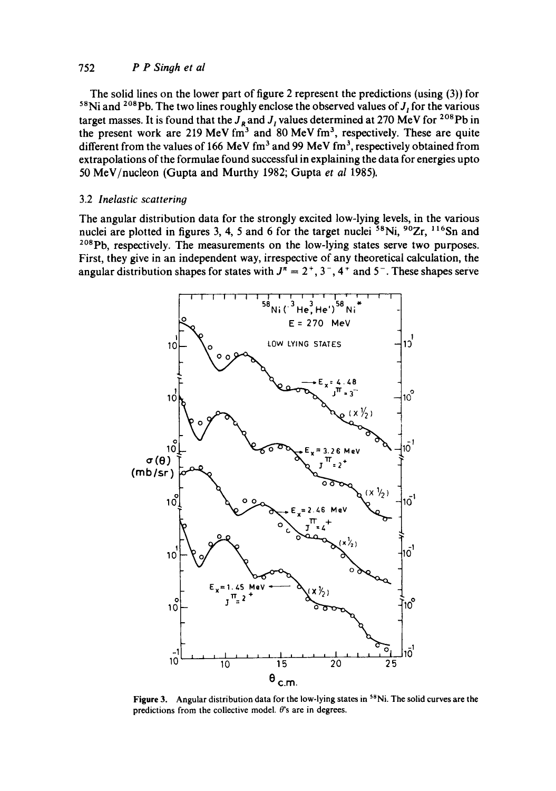### 752 *P P Singh et M*

The solid lines on the lower part of figure 2 represent the predictions (using (3)) for <sup>58</sup>Ni and <sup>208</sup>Pb. The two lines roughly enclose the observed values of  $J<sub>I</sub>$  for the various target masses. It is found that the  $J_R$  and  $J_I$  values determined at 270 MeV for <sup>208</sup>Pb in the present work are 219 MeV fm<sup>3</sup> and 80 MeV fm<sup>3</sup>, respectively. These are quite different from the values of 166 MeV fm<sup>3</sup> and 99 MeV fm<sup>3</sup>, respectively obtained from extrapolations of the formulae found successful in explaining the data for energies upto 50 MeV/nucleon (Gupta and Murthy 1982; Gupta *et al* 1985).

### 3.2 *Inelastic scattering*

The angular distribution data for the strongly excited low-lying levels, in the various nuclei are plotted in figures 3, 4, 5 and 6 for the target nuclei  $58$ Ni,  $90Zr$ ,  $116Sn$  and <sup>208</sup>Pb, respectively. The measurements on the low-lying states serve two purposes. First, they give in an independent way, irrespective of any theoretical calculation, the angular distribution shapes for states with  $J^n = 2^+, 3^-, 4^+$  and  $5^-$ . These shapes serve



Figure 3. Angular distribution data for the low-lying states in <sup>58</sup>Ni. The solid curves are the predictions from the collective model.  $\theta$ 's are in degrees.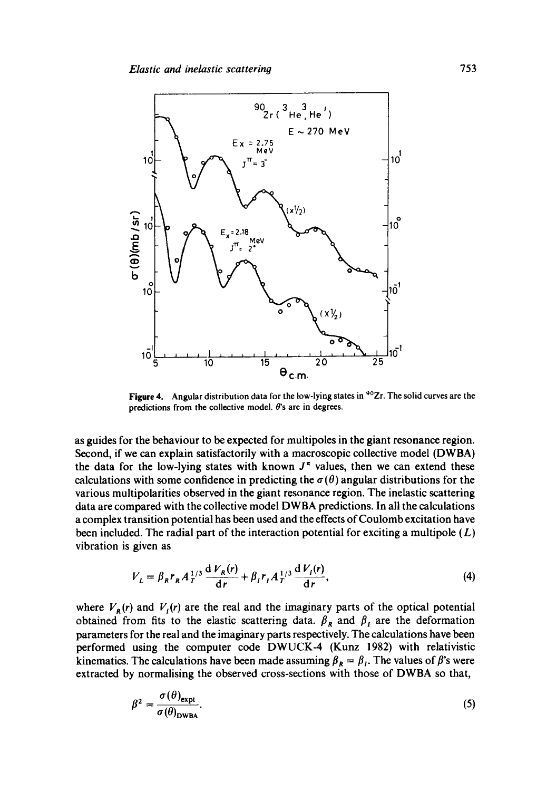

Figure 4. Angular distribution data for the low-lying states in <sup>90</sup>Zr. The solid curves are the predictions from the collective model.  $\theta$ 's are in degrees.

as guides for the behaviour to be expected for multipoles in the giant resonance region. Second, if we can explain satisfactorily with a macroscopic collective model (DWBA) the data for the low-lying states with known  $J^{\pi}$  values, then we can extend these calculations with some confidence in predicting the  $\sigma(\theta)$  angular distributions for the various multipolarities observed in the giant resonance region. The inelastic scattering data are compared with the collective model DWBA predictions. In all the calculations a complex transition potential has been used and the effects of Coulomb excitation have been included. The radial part of the interaction potential for exciting a multipole  $(L)$ vibration is given as

$$
V_L = \beta_R r_R A_T^{1/3} \frac{dV_R(r)}{dr} + \beta_I r_I A_T^{1/3} \frac{dV_I(r)}{dr},
$$
\n(4)

where  $V_{\bf{g}}(r)$  and  $V_{\bf{f}}(r)$  are the real and the imaginary parts of the optical potential obtained from fits to the elastic scattering data.  $\beta_R$  and  $\beta_I$  are the deformation parameters for the real and the imaginary parts respectively. The calculations have been performed using the computer code DWUCK-4 (Kunz 1982) with relativistic kinematics. The calculations have been made assuming  $\beta_R = \beta_I$ . The values of  $\beta$ 's were extracted by normalising the observed cross-sections with those of DWBA so that,

$$
\beta^2 = \frac{\sigma(\theta)_{\text{expl}}}{\sigma(\theta)_{\text{DWBA}}}.\tag{5}
$$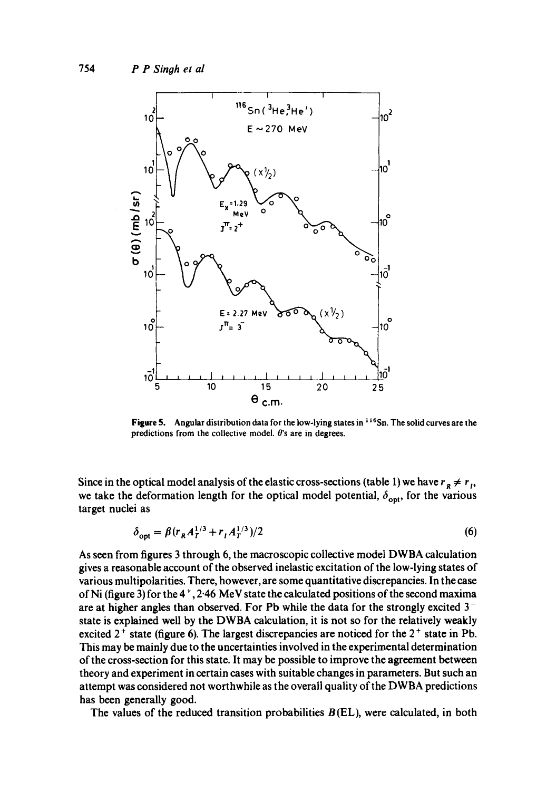

Figure 5. Angular distribution data for the low-lying states in  $116$ Sn. The solid curves are the predictions from the collective model.  $\theta$ 's are in degrees.

Since in the optical model analysis of the elastic cross-sections (table 1) we have  $r_R \neq r_I$ , we take the deformation length for the optical model potential,  $\delta_{\text{opt}}$ , for the various target nuclei as

$$
\delta_{\text{opt}} = \beta (r_R A_T^{1/3} + r_I A_T^{1/3})/2
$$
 (6)

As seen from figures 3 through 6, the macroscopic collective model DWBA calculation gives a reasonable account of the observed inelastic excitation of the low-lying states of various multipolarities. There, however, are some quantitative discrepancies. In the case of Ni (figure 3) for the  $4^+$ , 2.46 MeV state the calculated positions of the second maxima are at higher angles than observed. For Pb while the data for the strongly excited 3 state is explained well by the DWBA calculation, it is not so for the relatively weakly excited  $2^+$  state (figure 6). The largest discrepancies are noticed for the  $2^+$  state in Pb. This may be mainly due to the uncertainties involved in the experimental determination of the cross-section for this state. It may be possible to improve the agreement between theory and experiment in certain cases with suitable changes in parameters. But such an attempt was considered not worthwhile as the overall quality of the DWBA predictions has been generally good.

The values of the reduced transition probabilities  $B(EL)$ , were calculated, in both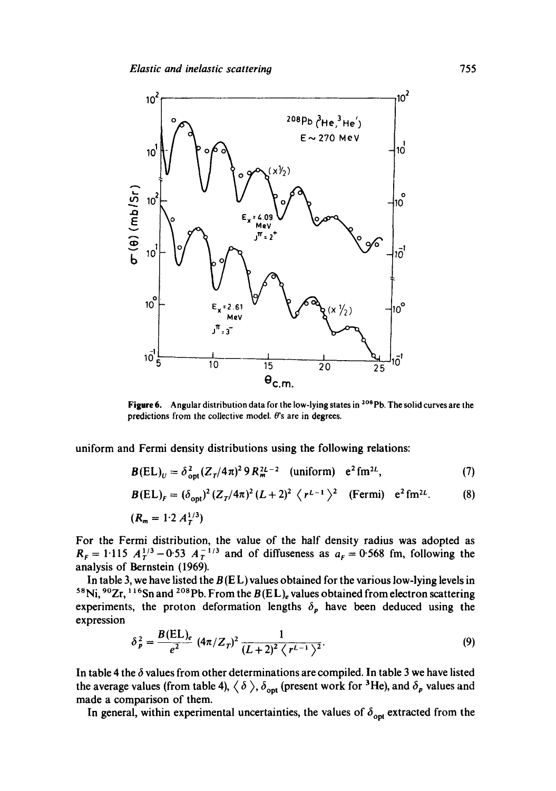

Figure 6. Angular distribution data for the low-lying states in <sup>208</sup>Pb. The solid curves are the predictions from the collective model.  $\theta$ 's are in degrees.

uniform and Fermi density distributions using the following relations:

$$
B(EL)_U = \delta_{\text{opt}}^2 (Z_T/4\pi)^2 9 R_m^{2L-2} \quad \text{(uniform)} \quad e^2 \text{fm}^{2L}, \tag{7}
$$

$$
B(EL)_F = (\delta_{\rm opt})^2 (Z_T/4\pi)^2 (L+2)^2 \langle r^{L-1} \rangle^2 \quad \text{(Fermi)} \quad e^2 \text{fm}^{2L}. \tag{8}
$$

 $(R_m = 1.2 A_T^{1/3})$ 

For the Fermi distribution, the value of the half density radius was adopted as  $R_F = 1.115$   $A_T^{1/3} - 0.53$   $A_T^{-1/3}$  and of diffuseness as  $a_F = 0.568$  fm, following the analysis of Bernstein (1969).

In table 3, we have listed the  $B(E<sub>L</sub>)$  values obtained for the various low-lying levels in <sup>58</sup>Ni, <sup>90</sup>Zr, <sup>116</sup>Sn and <sup>208</sup>Pb. From the  $B(EL)$ <sub>e</sub> values obtained from electron scattering experiments, the proton deformation lengths  $\delta_p$  have been deduced using the expression

$$
\delta_p^2 = \frac{B(EL)_e}{e^2} (4\pi/Z_T)^2 \frac{1}{(L+2)^2 \langle r^{L-1} \rangle^2}.
$$
 (9)

In table 4 the  $\delta$  values from other determinations are compiled. In table 3 we have listed the average values (from table 4),  $\langle \delta \rangle$ ,  $\delta_{\text{opt}}$  (present work for <sup>3</sup>He), and  $\delta_p$  values and made a comparison of them.

In general, within experimental uncertainties, the values of  $\delta_{opt}$  extracted from the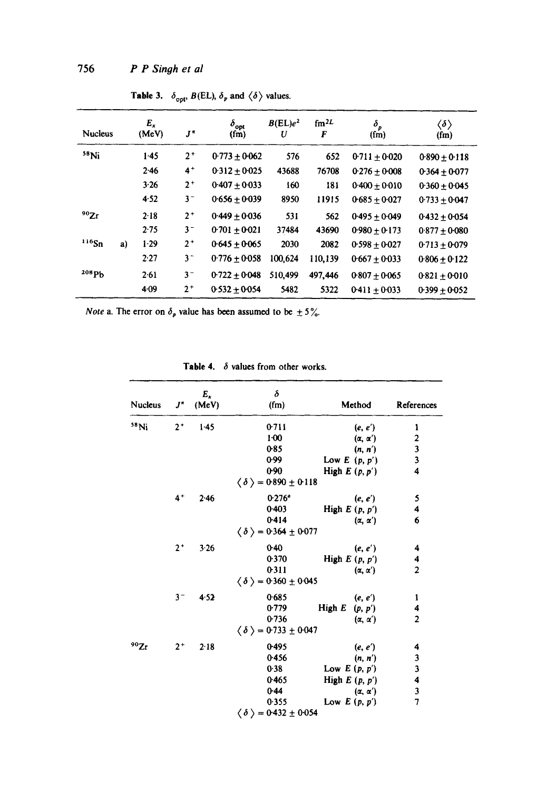| <b>Nucleus</b> |    | $E_x$<br>(MeV) | $J^{\star}$ | $\delta_{\rm opt}$<br>(fm) | $B(EL)e^2$<br>U | fm <sup>2</sup> L<br>F | $\delta_p$<br>(fm) | $\langle \delta \rangle$<br>$(f_m)$ |
|----------------|----|----------------|-------------|----------------------------|-----------------|------------------------|--------------------|-------------------------------------|
| $58$ Ni        |    | $1-45$         | $2^+$       | $0.773 + 0.062$            | 576             | 652                    | $0.711 + 0.020$    | $0.890 \pm 0.118$                   |
|                |    | 2.46           | $4+$        | $0.312 \pm 0.025$          | 43688           | 76708                  | $0.276 + 0.008$    | $0.364 \pm 0.077$                   |
|                |    | 3.26           | $2^+$       | $0.407 + 0.033$            | 160             | 181                    | $0.400 + 0.010$    | $0.360 \pm 0.045$                   |
|                |    | 4.52           | $3 -$       | $0.656 + 0.039$            | 8950            | 11915                  | $0.685 \pm 0.027$  | $0.733 + 0.047$                     |
| 90Zr           |    | 2.18           | $2^+$       | $0.449 + 0.036$            | 531             | 562                    | $0.495 + 0.049$    | $0.432 + 0.054$                     |
|                |    | 2.75           | $3-$        | $0.701 + 0.021$            | 37484           | 43690                  | $0.980 + 0.173$    | $0.877 + 0.080$                     |
| $116$ Sn       | a) | 1.29           | $2^{+}$     | $0.645 + 0.065$            | 2030            | 2082                   | $0.598 + 0.027$    | $0.713 + 0.079$                     |
|                |    | 2.27           | $3 -$       | $0.776 + 0.058$            | 100,624         | 110,139                | $0.667 + 0.033$    | $0.806 \pm 0.122$                   |
| 208ph          |    | 2.61           | $3 -$       | $0.722 + 0.048$            | 510.499         | 497,446                | $0.807 + 0.065$    | $0.821 \pm 0.010$                   |
|                |    | 4.09           | $2^+$       | $0.532 + 0.054$            | 5482            | 5322                   | $0.411 + 0.033$    | $0.399 + 0.052$                     |

Table 3.  $\delta_{\text{opt}}$ ,  $B(EL)$ ,  $\delta_p$  and  $\langle \delta \rangle$  values.

*Note* a. The error on  $\delta_p$  value has been assumed to be  $\pm 5\%$ .

Table 4.  $\delta$  values from other works.

| Nucleus | $J^{\pi}$ | $E_x$<br>(MeV) | $\delta$<br>(fm)                           | Method              | References                                 |
|---------|-----------|----------------|--------------------------------------------|---------------------|--------------------------------------------|
| $58$ Ni | $2^+$     | $1-45$         | 0.711                                      | (e, e')             | 1                                          |
|         |           |                | $1 - 00$                                   | $(\alpha, \alpha')$ |                                            |
|         |           |                | 0.85                                       | (n, n')             | $\begin{array}{c} 2 \\ 3 \\ 3 \end{array}$ |
|         |           |                | 0.99                                       | Low $E(p, p')$      |                                            |
|         |           |                | 0.90                                       | High $E(p, p')$     | $\overline{\mathbf{4}}$                    |
|         |           |                | $\langle \delta \rangle = 0.890 \pm 0.118$ |                     |                                            |
|         | $4+$      | 2.46           | $0.276^{\circ}$                            | (e, e')             | 5                                          |
|         |           |                | 0.403                                      | High $E(p, p')$     | 4                                          |
|         |           |                | 0.414                                      | $(\alpha, \alpha')$ | 6                                          |
|         |           |                | $\langle \delta \rangle = 0.364 \pm 0.077$ |                     |                                            |
|         | $2^+$     | 3.26           | $0-40$                                     | (e, e')             | 4                                          |
|         |           |                | 0.370                                      | High $E(p, p')$     | 4                                          |
|         |           |                | 0.311                                      | $(\alpha, \alpha')$ | $\overline{2}$                             |
|         |           |                | $\langle \delta \rangle = 0.360 \pm 0.045$ |                     |                                            |
|         | $3 -$     | 4.52           | 0.685                                      | (e, e')             | 1                                          |
|         |           |                | 0.779                                      | High $E(p, p')$     | 4                                          |
|         |           |                | 0.736                                      | $(\alpha, \alpha')$ | $\overline{2}$                             |
|         |           |                | $\langle \delta \rangle = 0.733 \pm 0.047$ |                     |                                            |
| 90Zr    | $2^+$     | 2.18           | 0.495                                      | (e, e')             | 4                                          |
|         |           |                | 0.456                                      | (n, n')             |                                            |
|         |           |                | 0.38                                       | Low $E(p, p')$      | $\frac{3}{3}$                              |
|         |           |                | 0.465                                      | High $E(p, p')$     | 4                                          |
|         |           |                | 0.44                                       | $(\alpha, \alpha')$ | 3                                          |
|         |           |                | 0.355                                      | Low $E(p, p')$      | $\overline{1}$                             |
|         |           |                | $\langle \delta \rangle = 0.432 \pm 0.054$ |                     |                                            |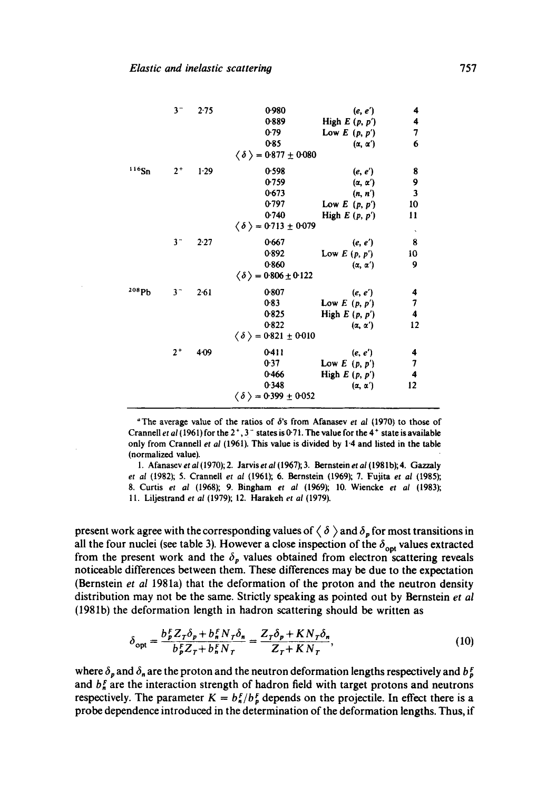|                   | $3^-$          | 2.75     | 0.980                                      | (e, e')             | 4                                          |
|-------------------|----------------|----------|--------------------------------------------|---------------------|--------------------------------------------|
|                   |                |          | 0.889                                      | High $E(p, p')$     | 4                                          |
|                   |                |          | 0.79                                       | Low $E(p, p')$      | 7                                          |
|                   |                |          | 0.85                                       | $(\alpha, \alpha')$ | 6                                          |
|                   |                |          | $\langle \delta \rangle = 0.877 \pm 0.080$ |                     |                                            |
| 116Sn             | $2^+$          | $1-29$   | 0.598                                      | (e, e')             |                                            |
|                   |                |          | 0.759                                      | $(\alpha, \alpha')$ | $\begin{array}{c} 8 \\ 9 \\ 3 \end{array}$ |
|                   |                |          | 0.673                                      | (n, n')             |                                            |
|                   |                |          | 0.797                                      | Low $E(p, p')$      | 10                                         |
|                   |                |          | 0.740                                      | High $E(p, p')$     | 11                                         |
|                   |                |          | $\langle \delta \rangle = 0.713 \pm 0.079$ |                     | $\hat{\boldsymbol{\theta}}$                |
|                   | 3 <sup>2</sup> | $2 - 27$ | 0.667                                      | (e, e')             | 8                                          |
|                   |                |          | 0.892                                      | Low $E(p, p')$      | 10                                         |
|                   |                |          | 0.860                                      | $(\alpha, \alpha')$ | 9                                          |
|                   |                |          | $\langle \delta \rangle = 0.806 \pm 0.122$ |                     |                                            |
| <sup>208</sup> Pb | $3-$           | $2 - 61$ | 0.807                                      | (e, e')             | 4                                          |
|                   |                |          | 0.83                                       | Low $E(p, p')$      | $\begin{array}{c} 7 \\ 4 \end{array}$      |
|                   |                |          | 0.825                                      | High $E(p, p')$     |                                            |
|                   |                |          | 0.822                                      | $(\alpha, \alpha')$ | 12                                         |
|                   |                |          | $\langle \delta \rangle = 0.821 \pm 0.010$ |                     |                                            |
|                   | $2^+$          | 409      | 0.411                                      | (e, e')             |                                            |
|                   |                |          | 0.37                                       | Low $E(p, p')$      | $\frac{4}{7}$                              |
|                   |                |          | 0.466                                      | High $E(p, p')$     |                                            |
|                   |                |          | 0.348                                      | $(\alpha, \alpha')$ | 12                                         |
|                   |                |          | $\langle \delta \rangle = 0.399 \pm 0.052$ |                     |                                            |

<sup>4</sup>The average value of the ratios of  $\delta$ 's from Afanasev *et al* (1970) to those of Crannell *et al* (1961) for the  $2^+$ ,  $3^-$  states is 0-71. The value for the 4<sup>+</sup> state is available only from Crannell *et al* (1961). This value is divided by 1-4 and listed in the table (normalized value).

1. Afanasev *et al* (1970); 2. Jarvis *et al* (1967); 3. Bernstein *e! al* (1981 b); 4. Gazzaly *et al* (1982); 5. Crannell *et al* (1961); 6. Bernstein (1969); 7. Fujita et *al* (1985); 8. Curtis *el al* (1968); 9. Bingham *et al* (1969); 10. Wiencke *et al* (1983); 11. Liljestrand *et al* (1979); 12. Harakeh *et al* (1979).

present work agree with the corresponding values of  $\langle \delta \rangle$  and  $\delta_p$  for most transitions in all the four nuclei (see table 3). However a close inspection of the  $\delta_{\text{opt}}$  values extracted from the present work and the  $\delta_p$  values obtained from electron scattering reveals noticeable differences between them. These differences may be due to the expectation (Bernstein *et al* 1981a) that the deformation of the proton and the neutron density distribution may not be the same. Strictly speaking as pointed out by Bernstein *et al*  (1981b) the deformation length in hadron scattering should be written as

$$
\delta_{\text{opt}} = \frac{b_F^F Z_T \delta_p + b_n^F N_T \delta_n}{b_F^F Z_T + b_n^F N_T} = \frac{Z_T \delta_p + KN_T \delta_n}{Z_T + KN_T},\tag{10}
$$

where  $\delta_p$  and  $\delta_n$  are the proton and the neutron deformation lengths respectively and  $b_p^r$ and  $b_n^F$  are the interaction strength of hadron field with target protons and neutrons respectively. The parameter  $K = b_n^F/b_p^F$  depends on the projectile. In effect there is a probe dependence introduced in the determination of the deformation lengths. Thus, if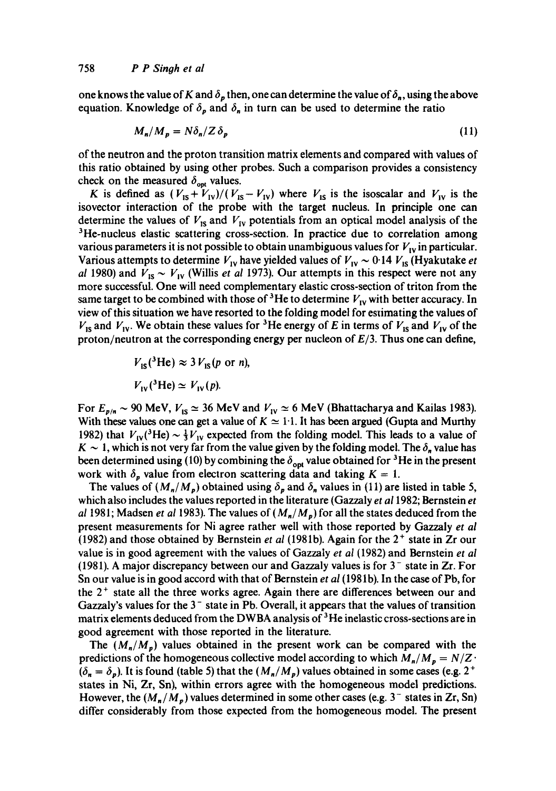one knows the value of K and  $\delta_p$  then, one can determine the value of  $\delta_n$ , using the above equation. Knowledge of  $\delta_p$  and  $\delta_n$  in turn can be used to determine the ratio

$$
M_n/M_p = N\delta_n/Z\delta_p \tag{11}
$$

of the neutron and the proton transition matrix elements and compared with values of this ratio obtained by using other probes. Such a comparison provides a consistency check on the measured  $\delta_{\text{opt}}$  values.

K is defined as  $(V_{1s} + V_{1v})/(V_{1s} - V_{1v})$  where  $V_{1s}$  is the isoscalar and  $V_{1v}$  is the isovector interaction of the probe with the target nucleus. In principle one can determine the values of  $V_{\text{IS}}$  and  $V_{\text{IV}}$  potentials from an optical model analysis of the <sup>3</sup>He-nucleus elastic scattering cross-section. In practice due to correlation among various parameters it is not possible to obtain unambiguous values for  $V_{1v}$  in particular. Various attempts to determine  $V_{1V}$  have yielded values of  $V_{1V} \sim 0.14 V_{1S}$  (Hyakutake *et al* 1980) and  $V_{1s} \sim V_{1v}$  (Willis *et al* 1973). Our attempts in this respect were not any more successful. One will need complementary elastic cross-section of triton from the same target to be combined with those of <sup>3</sup>He to determine  $V_{\text{IV}}$  with better accuracy. In view of this situation we have resorted to the folding model for estimating the values of  $V_{15}$  and  $V_{19}$ . We obtain these values for <sup>3</sup>He energy of E in terms of  $V_{15}$  and  $V_{19}$  of the proton/neutron at the corresponding energy per nucleon of *E/3.* Thus one can define,

$$
V_{\text{IS}}(^{3}\text{He}) \approx 3 V_{\text{IS}}(p \text{ or } n),
$$
  

$$
V_{\text{IV}}(^{3}\text{He}) \simeq V_{\text{IV}}(p).
$$

For  $E_{p/n} \sim 90$  MeV,  $V_{1S} \simeq 36$  MeV and  $V_{1V} \simeq 6$  MeV (Bhattacharya and Kailas 1983). With these values one can get a value of  $K \simeq 1.1$ . It has been argued (Gupta and Murthy 1982) that  $V_{IV}(^3\text{He}) \sim \frac{1}{3}V_{IV}$  expected from the folding model. This leads to a value of  $K \sim 1$ , which is not very far from the value given by the folding model. The  $\delta_n$  value has been determined using (10) by combining the  $\delta_{\text{opt}}$  value obtained for <sup>3</sup>He in the present work with  $\delta_p$  value from electron scattering data and taking  $K = 1$ .

The values of  $(M_n/M_p)$  obtained using  $\delta_p$  and  $\delta_n$  values in (11) are listed in table 5, which also includes the values reported in the literature (Gazzaly *et al 1982; Bernstein et al* 1981; Madsen *et al* 1983). The values of  $(M_n/M_p)$  for all the states deduced from the present measurements for Ni agree rather well with those reported by Gazzaly *et al*  (1982) and those obtained by Bernstein *et al* (1981b). Again for the 2 + state in Zr our value is in good agreement with the values of Gazzaty *et al* (1982) and Bernstein *et al*  (1981). A major discrepancy between our and Gazzaly values is for  $3<sup>-</sup>$  state in Zr. For Sn our value is in good accord with that of Bernstein *et al* (198 lb). In the case of Pb, for the  $2<sup>+</sup>$  state all the three works agree. Again there are differences between our and Gazzaly's values for the  $3<sup>-</sup>$  state in Pb. Overall, it appears that the values of transition matrix elements deduced from the DWBA analysis of  $3$ He inelastic cross-sections are in good agreement with those reported in the literature.

The  $(M_n/M_p)$  values obtained in the present work can be compared with the predictions of the homogeneous collective model according to which  $M_n/M_p = N/Z$  $(\delta_n = \delta_p)$ . It is found (table 5) that the  $(M_n/M_p)$  values obtained in some cases (e.g. 2<sup>+</sup> states in Ni, Zr, Sn), within errors agree with the homogeneous model predictions. However, the  $(M_n/M_p)$  values determined in some other cases (e.g. 3<sup>-</sup> states in Zr, Sn) differ considerably from those expected from the homogeneous model. The present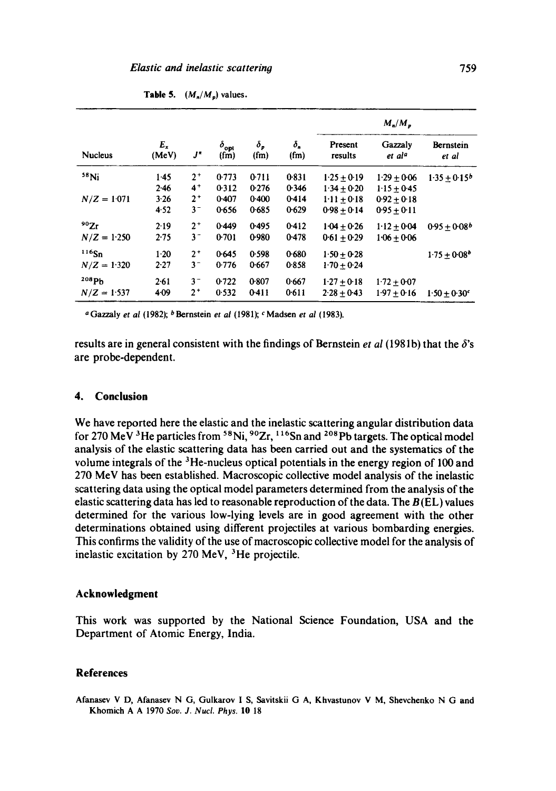| <b>Nucleus</b> |                | J"    | $\delta_{\rm opt}$<br>(fm) | $\delta_{p}$<br>(fm) | $\delta_n$<br>(fm) | $M_n/M_n$          |                               |                         |
|----------------|----------------|-------|----------------------------|----------------------|--------------------|--------------------|-------------------------------|-------------------------|
|                | $E_x$<br>(MeV) |       |                            |                      |                    | Present<br>results | Gazzaly<br>et al <sup>a</sup> | Bernstein<br>et al      |
| $58$ Ni        | 1.45           | $2^+$ | 0.773                      | 0.711                | 0.831              | $1.25 + 0.19$      | $1.29 + 0.06$                 | $1.35 + 0.15^{b}$       |
|                | 2.46           | $4^+$ | 0.312                      | 0.276                | 0.346              | $1.34 + 0.20$      | $1.15 + 0.45$                 |                         |
| $N/Z = 1.071$  | 3.26           | $2^+$ | 0.407                      | 0.400                | 0.414              | $1.11 + 0.18$      | $0.92 \pm 0.18$               |                         |
|                | 4.52           | $3-$  | 0.656                      | 0.685                | 0.629              | $0.98 + 0.14$      | $0.95 + 0.11$                 |                         |
| 90Zr           | 2.19           | $2^+$ | 0.449                      | 0.495                | 0.412              | $1.04 + 0.26$      | $1.12 + 0.04$                 | $0.95 + 0.08b$          |
| $N/Z = 1.250$  | 2.75           | $3 -$ | 0.701                      | 0.980                | 0.478              | $0.61 \pm 0.29$    | $1.06 + 0.06$                 |                         |
| $116$ Sn       | $1-20$         | $2+$  | 0.645                      | 0.598                | 0.680              | $1.50 + 0.28$      |                               | $1.75 + 0.08^{b}$       |
| $N/Z = 1.320$  | 2.27           | $3 -$ | 0.776                      | 0.667                | 0.858              | $1.70 + 0.24$      |                               |                         |
| 208Ph          | 2.61           | $3^-$ | 0.722                      | 0.807                | 0.667              | $1.27 + 0.18$      | $1.72 + 0.07$                 |                         |
| $N/Z = 1.537$  | $4 - 09$       | $2^+$ | 0.532                      | 0.411                | 0.611              | $2.28 + 0.43$      | $1.97 \pm 0.16$               | $1.50 \pm 0.30^{\circ}$ |

**Table 5.**  $(M_n/M_p)$  values.

a Gazzaly *et al* (1982); bBernstein *et al* (1981); c Madsen *et al* (1983).

results are in general consistent with the findings of Bernstein *et al* (1981b) that the  $\delta$ 's are probe-dependent.

### **4. Conclusion**

We have reported here the elastic and the inelastic scattering angular distribution data for 270 MeV <sup>3</sup>He particles from <sup>58</sup>Ni, <sup>90</sup>Zr, <sup>116</sup>Sn and <sup>208</sup>Pb targets. The optical model analysis of the elastic scattering data has been carried out and the systematics of the volume integrals of the  ${}^{3}$ He-nucleus optical potentials in the energy region of 100 and 270 MeV has been established. Macroscopic collective model analysis of the inelastic scattering data using the optical model parameters determined from the analysis of the elastic scattering data has led to reasonable reproduction of the data. The  $B(E)$  values determined for the various low-lying levels are in good agreement with the other determinations obtained using different projectiles at various bombarding energies. This confirms the validity of the use of macroscopic collective model for the analysis of inelastic excitation by 270 MeV, 3He projectile.

### **Acknowledgment**

This work was supported by the National Science Foundation, USA and the Department of Atomic Energy, India.

### **References**

Afanasev V D, Afanasev N G, Gulkarov I S, Savitskii G A, Khvastunov V M, Shevchenko N G and Khomich A A 1970 *Soy. J. Nucl. Phys.* I0 18